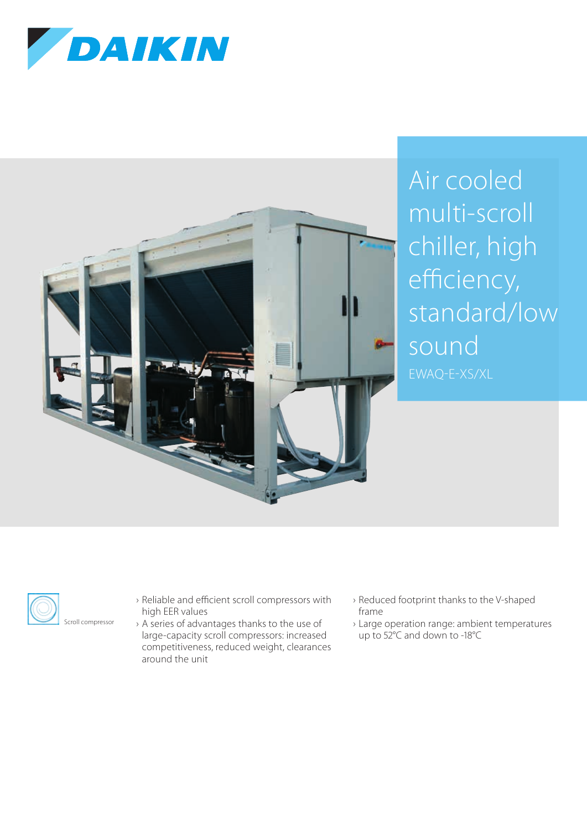



Air cooled multi-scroll chiller, high efficiency, standard/low sound EWAQ-E-XS/XL



- › Reliable and efficient scroll compressors with high EER values
- › A series of advantages thanks to the use of large-capacity scroll compressors: increased competitiveness, reduced weight, clearances around the unit
- › Reduced footprint thanks to the V-shaped frame
- › Large operation range: ambient temperatures up to 52°C and down to -18°C